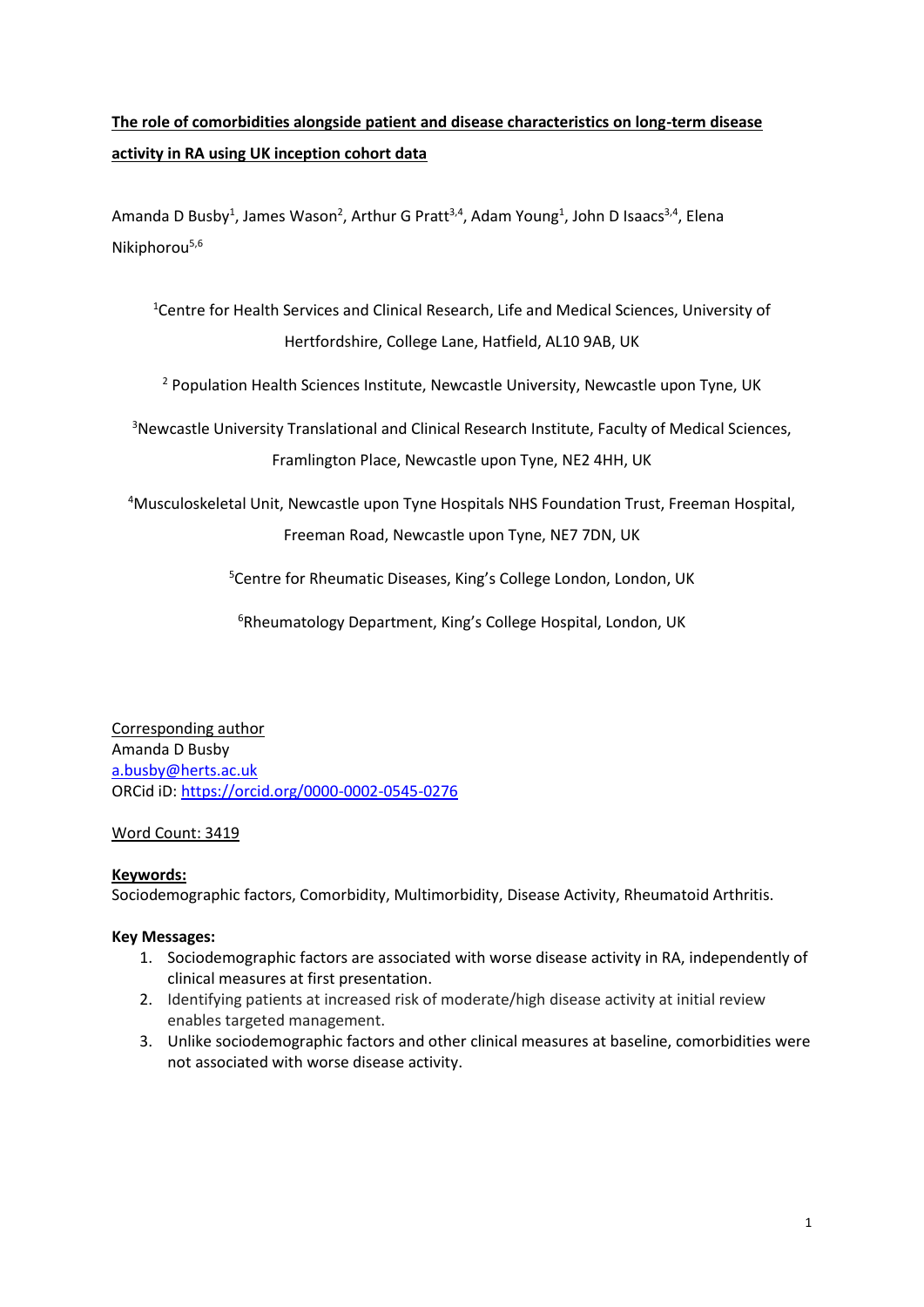# **The role of comorbidities alongside patient and disease characteristics on long-term disease activity in RA using UK inception cohort data**

Amanda D Busby<sup>1</sup>, James Wason<sup>2</sup>, Arthur G Pratt<sup>3,4</sup>, Adam Young<sup>1</sup>, John D Isaacs<sup>3,4</sup>, Elena Nikiphorou<sup>5,6</sup>

<sup>1</sup>Centre for Health Services and Clinical Research, Life and Medical Sciences, University of Hertfordshire, College Lane, Hatfield, AL10 9AB, UK

<sup>2</sup> Population Health Sciences Institute, Newcastle University, Newcastle upon Tyne, UK

<sup>3</sup>Newcastle University Translational and Clinical Research Institute, Faculty of Medical Sciences, Framlington Place, Newcastle upon Tyne, NE2 4HH, UK

<sup>4</sup>Musculoskeletal Unit, Newcastle upon Tyne Hospitals NHS Foundation Trust, Freeman Hospital, Freeman Road, Newcastle upon Tyne, NE7 7DN, UK

<sup>5</sup>Centre for Rheumatic Diseases, King's College London, London, UK

<sup>6</sup>Rheumatology Department, King's College Hospital, London, UK

Corresponding author Amanda D Busby [a.busby@herts.ac.uk](mailto:a.busby@herts.ac.uk) ORCid iD[: https://orcid.org/0000-0002-0545-0276](https://orcid.org/0000-0002-0545-0276)

# Word Count: 3419

## **Keywords:**

Sociodemographic factors, Comorbidity, Multimorbidity, Disease Activity, Rheumatoid Arthritis.

## **Key Messages:**

- 1. Sociodemographic factors are associated with worse disease activity in RA, independently of clinical measures at first presentation.
- 2. Identifying patients at increased risk of moderate/high disease activity at initial review enables targeted management.
- 3. Unlike sociodemographic factors and other clinical measures at baseline, comorbidities were not associated with worse disease activity.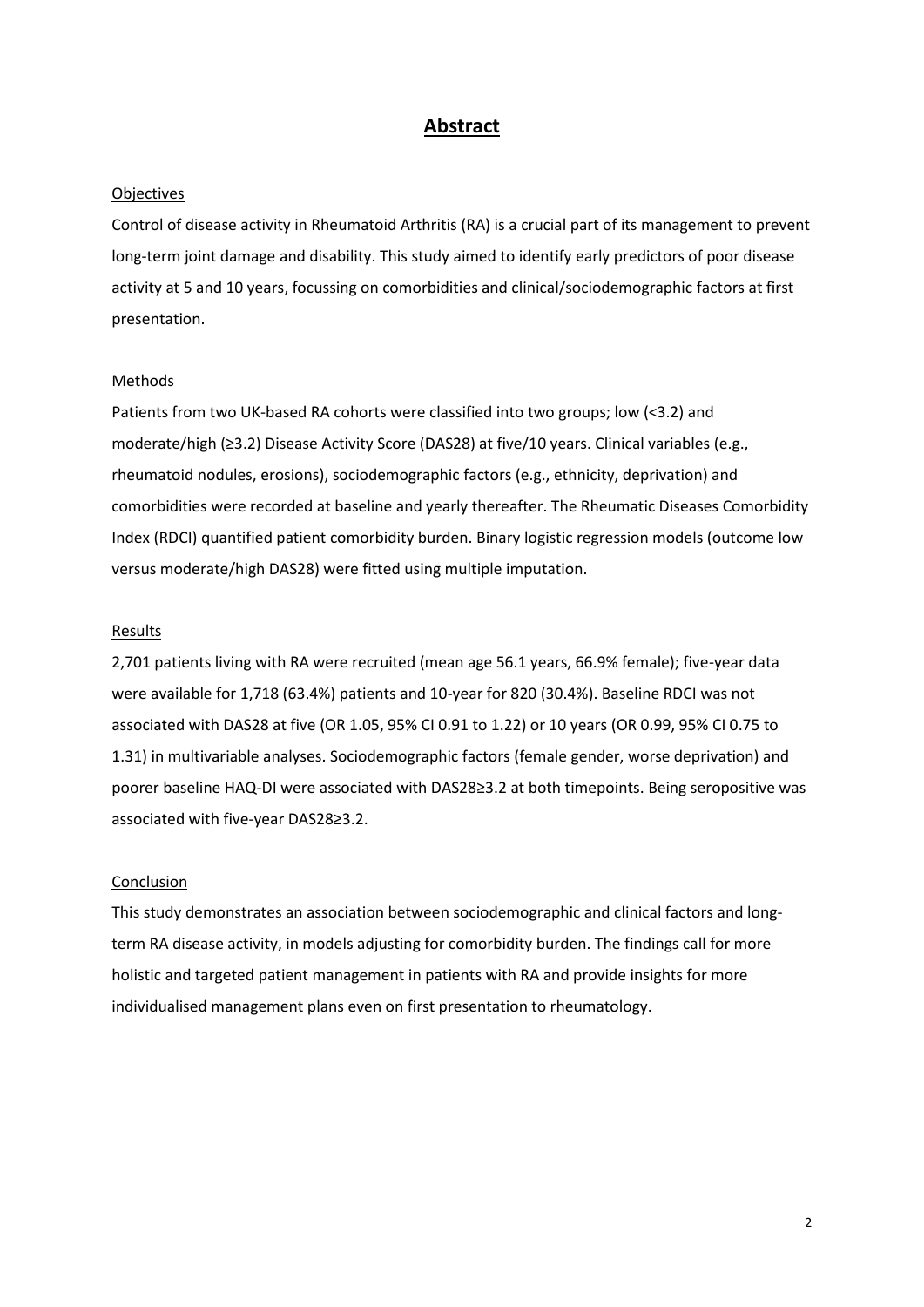## **Abstract**

#### **Objectives**

Control of disease activity in Rheumatoid Arthritis (RA) is a crucial part of its management to prevent long-term joint damage and disability. This study aimed to identify early predictors of poor disease activity at 5 and 10 years, focussing on comorbidities and clinical/sociodemographic factors at first presentation.

#### **Methods**

Patients from two UK-based RA cohorts were classified into two groups; low (<3.2) and moderate/high (≥3.2) Disease Activity Score (DAS28) at five/10 years. Clinical variables (e.g., rheumatoid nodules, erosions), sociodemographic factors (e.g., ethnicity, deprivation) and comorbidities were recorded at baseline and yearly thereafter. The Rheumatic Diseases Comorbidity Index (RDCI) quantified patient comorbidity burden. Binary logistic regression models (outcome low versus moderate/high DAS28) were fitted using multiple imputation.

#### **Results**

2,701 patients living with RA were recruited (mean age 56.1 years, 66.9% female); five-year data were available for 1,718 (63.4%) patients and 10-year for 820 (30.4%). Baseline RDCI was not associated with DAS28 at five (OR 1.05, 95% CI 0.91 to 1.22) or 10 years (OR 0.99, 95% CI 0.75 to 1.31) in multivariable analyses. Sociodemographic factors (female gender, worse deprivation) and poorer baseline HAQ-DI were associated with DAS28≥3.2 at both timepoints. Being seropositive was associated with five-year DAS28≥3.2.

#### Conclusion

This study demonstrates an association between sociodemographic and clinical factors and longterm RA disease activity, in models adjusting for comorbidity burden. The findings call for more holistic and targeted patient management in patients with RA and provide insights for more individualised management plans even on first presentation to rheumatology.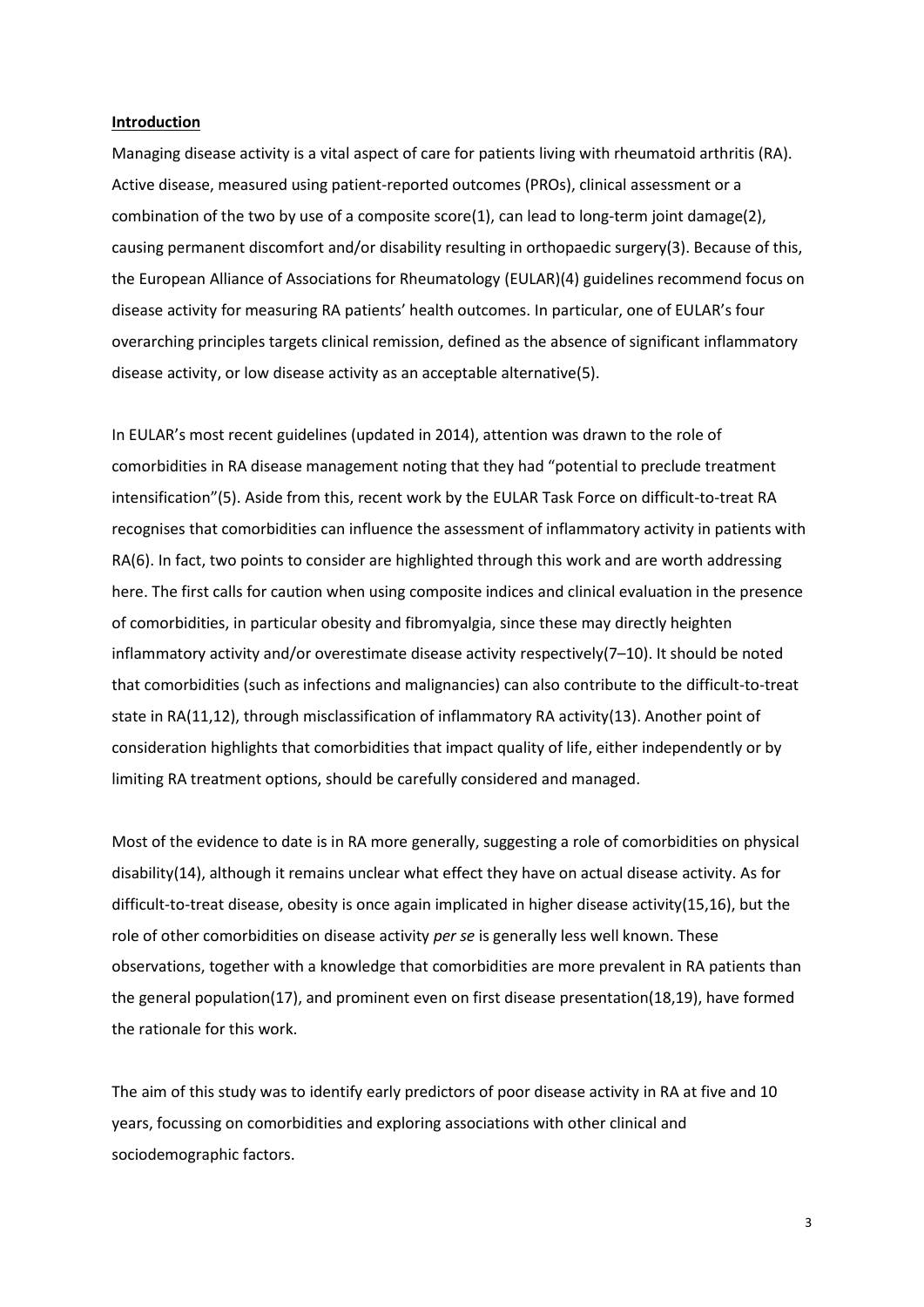#### **Introduction**

Managing disease activity is a vital aspect of care for patients living with rheumatoid arthritis (RA). Active disease, measured using patient-reported outcomes (PROs), clinical assessment or a combination of the two by use of a composite score(1), can lead to long-term joint damage(2), causing permanent discomfort and/or disability resulting in orthopaedic surgery(3). Because of this, the European Alliance of Associations for Rheumatology (EULAR)(4) guidelines recommend focus on disease activity for measuring RA patients' health outcomes. In particular, one of EULAR's four overarching principles targets clinical remission, defined as the absence of significant inflammatory disease activity, or low disease activity as an acceptable alternative(5).

In EULAR's most recent guidelines (updated in 2014), attention was drawn to the role of comorbidities in RA disease management noting that they had "potential to preclude treatment intensification"(5). Aside from this, recent work by the EULAR Task Force on difficult-to-treat RA recognises that comorbidities can influence the assessment of inflammatory activity in patients with RA(6). In fact, two points to consider are highlighted through this work and are worth addressing here. The first calls for caution when using composite indices and clinical evaluation in the presence of comorbidities, in particular obesity and fibromyalgia, since these may directly heighten inflammatory activity and/or overestimate disease activity respectively(7–10). It should be noted that comorbidities (such as infections and malignancies) can also contribute to the difficult-to-treat state in RA(11,12), through misclassification of inflammatory RA activity(13). Another point of consideration highlights that comorbidities that impact quality of life, either independently or by limiting RA treatment options, should be carefully considered and managed.

Most of the evidence to date is in RA more generally, suggesting a role of comorbidities on physical disability(14), although it remains unclear what effect they have on actual disease activity. As for difficult-to-treat disease, obesity is once again implicated in higher disease activity(15,16), but the role of other comorbidities on disease activity *per se* is generally less well known. These observations, together with a knowledge that comorbidities are more prevalent in RA patients than the general population(17), and prominent even on first disease presentation(18,19), have formed the rationale for this work.

The aim of this study was to identify early predictors of poor disease activity in RA at five and 10 years, focussing on comorbidities and exploring associations with other clinical and sociodemographic factors.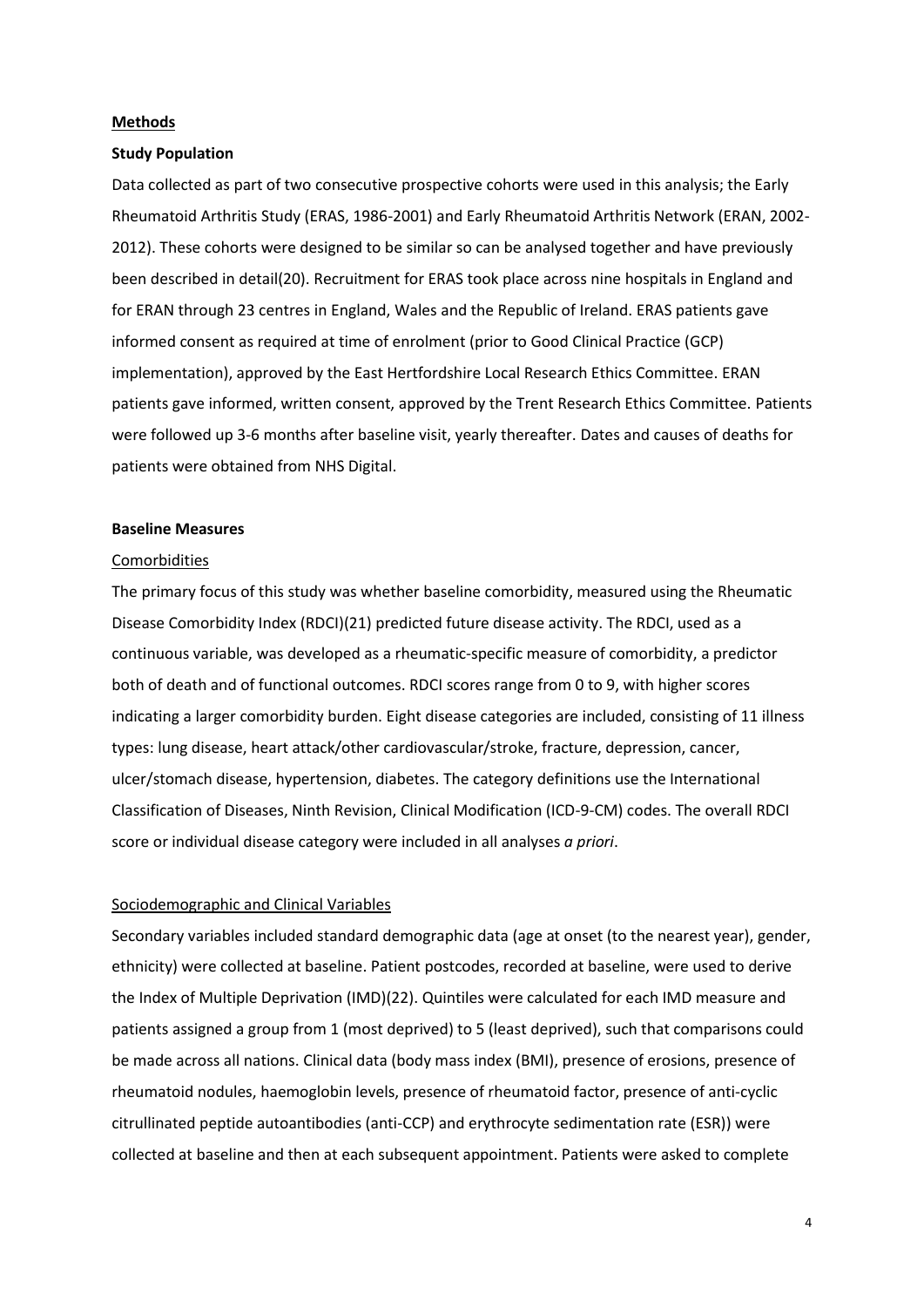#### **Methods**

#### **Study Population**

Data collected as part of two consecutive prospective cohorts were used in this analysis; the Early Rheumatoid Arthritis Study (ERAS, 1986-2001) and Early Rheumatoid Arthritis Network (ERAN, 2002- 2012). These cohorts were designed to be similar so can be analysed together and have previously been described in detail(20). Recruitment for ERAS took place across nine hospitals in England and for ERAN through 23 centres in England, Wales and the Republic of Ireland. ERAS patients gave informed consent as required at time of enrolment (prior to Good Clinical Practice (GCP) implementation), approved by the East Hertfordshire Local Research Ethics Committee. ERAN patients gave informed, written consent, approved by the Trent Research Ethics Committee. Patients were followed up 3-6 months after baseline visit, yearly thereafter. Dates and causes of deaths for patients were obtained from NHS Digital.

#### **Baseline Measures**

#### Comorbidities

The primary focus of this study was whether baseline comorbidity, measured using the Rheumatic Disease Comorbidity Index (RDCI)(21) predicted future disease activity. The RDCI, used as a continuous variable, was developed as a rheumatic-specific measure of comorbidity, a predictor both of death and of functional outcomes. RDCI scores range from 0 to 9, with higher scores indicating a larger comorbidity burden. Eight disease categories are included, consisting of 11 illness types: lung disease, heart attack/other cardiovascular/stroke, fracture, depression, cancer, ulcer/stomach disease, hypertension, diabetes. The category definitions use the International Classification of Diseases, Ninth Revision, Clinical Modification (ICD-9-CM) codes. The overall RDCI score or individual disease category were included in all analyses *a priori*.

### Sociodemographic and Clinical Variables

Secondary variables included standard demographic data (age at onset (to the nearest year), gender, ethnicity) were collected at baseline. Patient postcodes, recorded at baseline, were used to derive the Index of Multiple Deprivation (IMD)(22). Quintiles were calculated for each IMD measure and patients assigned a group from 1 (most deprived) to 5 (least deprived), such that comparisons could be made across all nations. Clinical data (body mass index (BMI), presence of erosions, presence of rheumatoid nodules, haemoglobin levels, presence of rheumatoid factor, presence of anti-cyclic citrullinated peptide autoantibodies (anti-CCP) and erythrocyte sedimentation rate (ESR)) were collected at baseline and then at each subsequent appointment. Patients were asked to complete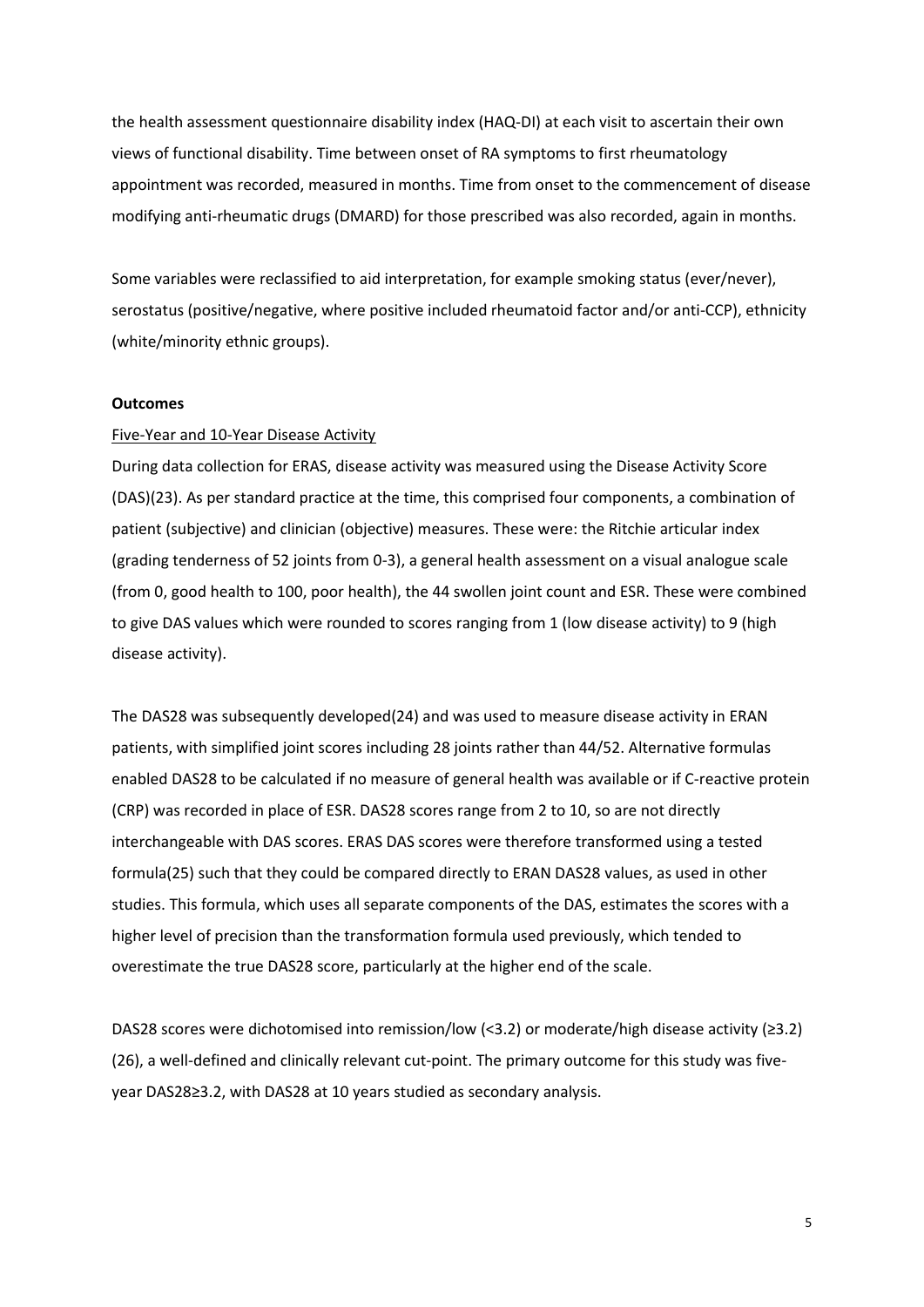the health assessment questionnaire disability index (HAQ-DI) at each visit to ascertain their own views of functional disability. Time between onset of RA symptoms to first rheumatology appointment was recorded, measured in months. Time from onset to the commencement of disease modifying anti-rheumatic drugs (DMARD) for those prescribed was also recorded, again in months.

Some variables were reclassified to aid interpretation, for example smoking status (ever/never), serostatus (positive/negative, where positive included rheumatoid factor and/or anti-CCP), ethnicity (white/minority ethnic groups).

#### **Outcomes**

#### Five-Year and 10-Year Disease Activity

During data collection for ERAS, disease activity was measured using the Disease Activity Score (DAS)(23). As per standard practice at the time, this comprised four components, a combination of patient (subjective) and clinician (objective) measures. These were: the Ritchie articular index (grading tenderness of 52 joints from 0-3), a general health assessment on a visual analogue scale (from 0, good health to 100, poor health), the 44 swollen joint count and ESR. These were combined to give DAS values which were rounded to scores ranging from 1 (low disease activity) to 9 (high disease activity).

The DAS28 was subsequently developed(24) and was used to measure disease activity in ERAN patients, with simplified joint scores including 28 joints rather than 44/52. Alternative formulas enabled DAS28 to be calculated if no measure of general health was available or if C-reactive protein (CRP) was recorded in place of ESR. DAS28 scores range from 2 to 10, so are not directly interchangeable with DAS scores. ERAS DAS scores were therefore transformed using a tested formula(25) such that they could be compared directly to ERAN DAS28 values, as used in other studies. This formula, which uses all separate components of the DAS, estimates the scores with a higher level of precision than the transformation formula used previously, which tended to overestimate the true DAS28 score, particularly at the higher end of the scale.

DAS28 scores were dichotomised into remission/low (<3.2) or moderate/high disease activity (≥3.2) (26), a well-defined and clinically relevant cut-point. The primary outcome for this study was fiveyear DAS28≥3.2, with DAS28 at 10 years studied as secondary analysis.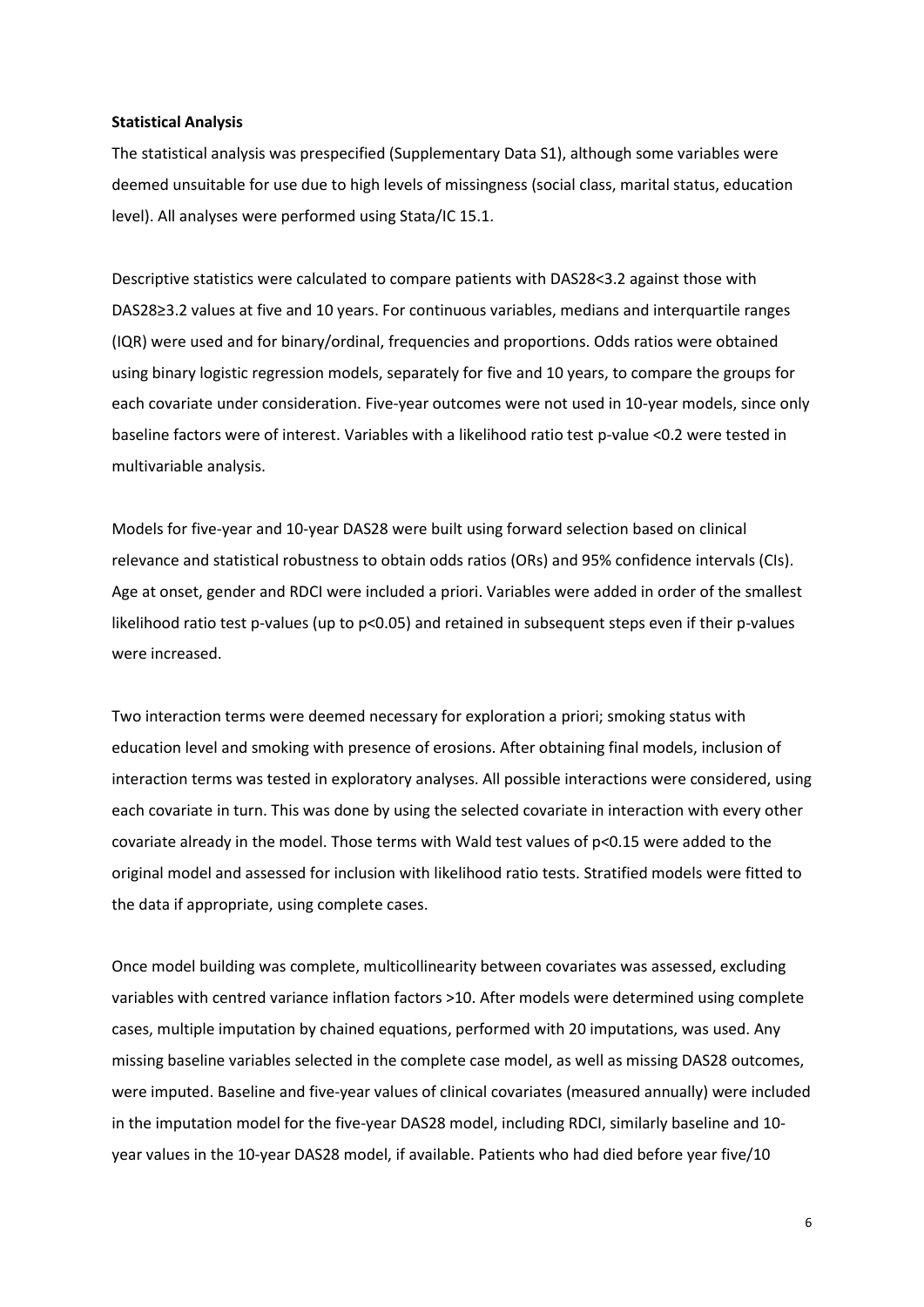#### **Statistical Analysis**

The statistical analysis was prespecified (Supplementary Data S1), although some variables were deemed unsuitable for use due to high levels of missingness (social class, marital status, education level). All analyses were performed using Stata/IC 15.1.

Descriptive statistics were calculated to compare patients with DAS28<3.2 against those with DAS28≥3.2 values at five and 10 years. For continuous variables, medians and interquartile ranges (IQR) were used and for binary/ordinal, frequencies and proportions. Odds ratios were obtained using binary logistic regression models, separately for five and 10 years, to compare the groups for each covariate under consideration. Five-year outcomes were not used in 10-year models, since only baseline factors were of interest. Variables with a likelihood ratio test p-value <0.2 were tested in multivariable analysis.

Models for five-year and 10-year DAS28 were built using forward selection based on clinical relevance and statistical robustness to obtain odds ratios (ORs) and 95% confidence intervals (CIs). Age at onset, gender and RDCI were included a priori. Variables were added in order of the smallest likelihood ratio test p-values (up to p<0.05) and retained in subsequent steps even if their p-values were increased.

Two interaction terms were deemed necessary for exploration a priori; smoking status with education level and smoking with presence of erosions. After obtaining final models, inclusion of interaction terms was tested in exploratory analyses. All possible interactions were considered, using each covariate in turn. This was done by using the selected covariate in interaction with every other covariate already in the model. Those terms with Wald test values of p<0.15 were added to the original model and assessed for inclusion with likelihood ratio tests. Stratified models were fitted to the data if appropriate, using complete cases.

Once model building was complete, multicollinearity between covariates was assessed, excluding variables with centred variance inflation factors >10. After models were determined using complete cases, multiple imputation by chained equations, performed with 20 imputations, was used. Any missing baseline variables selected in the complete case model, as well as missing DAS28 outcomes, were imputed. Baseline and five-year values of clinical covariates (measured annually) were included in the imputation model for the five-year DAS28 model, including RDCI, similarly baseline and 10 year values in the 10-year DAS28 model, if available. Patients who had died before year five/10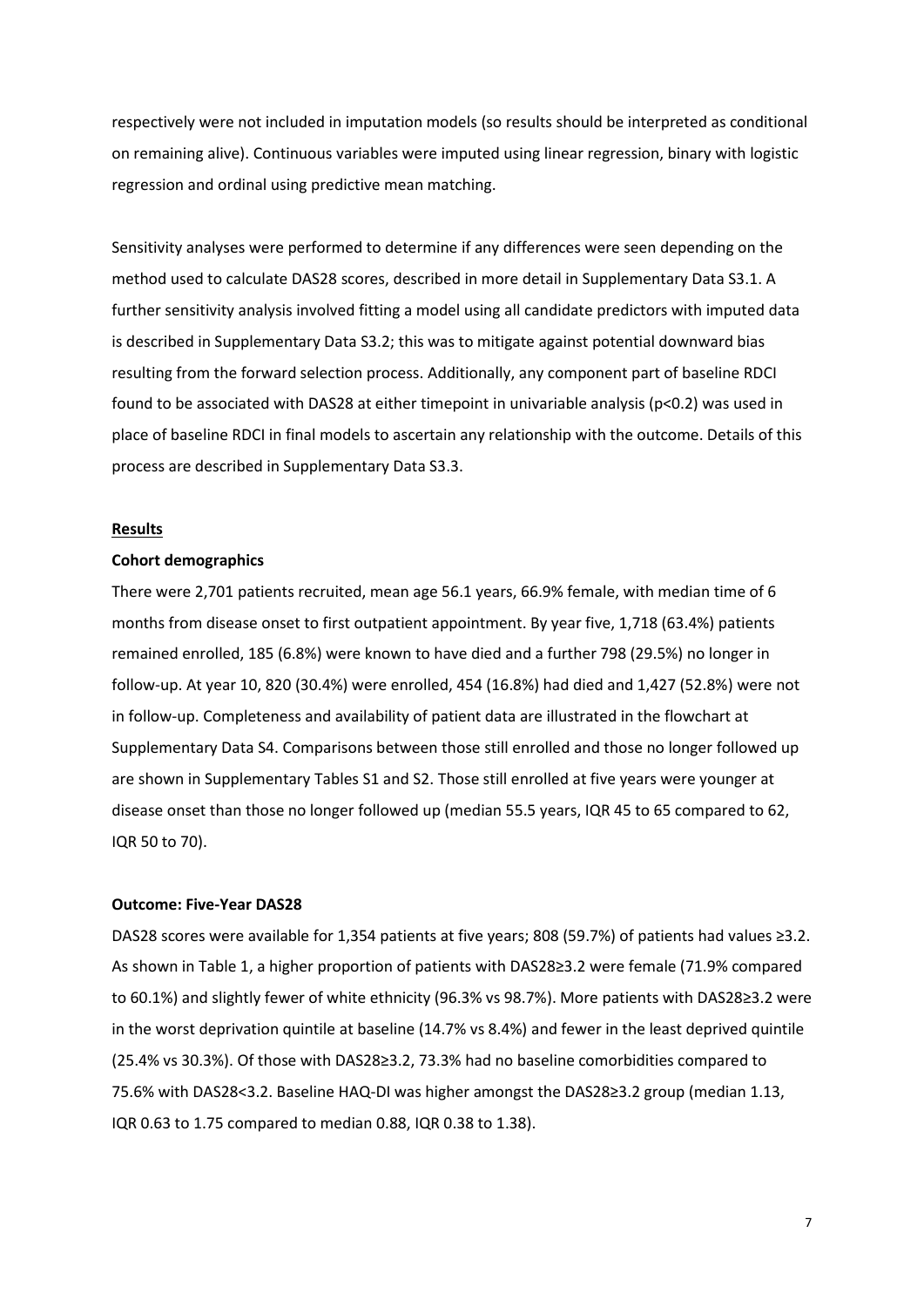respectively were not included in imputation models (so results should be interpreted as conditional on remaining alive). Continuous variables were imputed using linear regression, binary with logistic regression and ordinal using predictive mean matching.

Sensitivity analyses were performed to determine if any differences were seen depending on the method used to calculate DAS28 scores, described in more detail in Supplementary Data S3.1. A further sensitivity analysis involved fitting a model using all candidate predictors with imputed data is described in Supplementary Data S3.2; this was to mitigate against potential downward bias resulting from the forward selection process. Additionally, any component part of baseline RDCI found to be associated with DAS28 at either timepoint in univariable analysis (p<0.2) was used in place of baseline RDCI in final models to ascertain any relationship with the outcome. Details of this process are described in Supplementary Data S3.3.

#### **Results**

#### **Cohort demographics**

There were 2,701 patients recruited, mean age 56.1 years, 66.9% female, with median time of 6 months from disease onset to first outpatient appointment. By year five, 1,718 (63.4%) patients remained enrolled, 185 (6.8%) were known to have died and a further 798 (29.5%) no longer in follow-up. At year 10, 820 (30.4%) were enrolled, 454 (16.8%) had died and 1,427 (52.8%) were not in follow-up. Completeness and availability of patient data are illustrated in the flowchart at Supplementary Data S4. Comparisons between those still enrolled and those no longer followed up are shown in Supplementary Tables S1 and S2. Those still enrolled at five years were younger at disease onset than those no longer followed up (median 55.5 years, IQR 45 to 65 compared to 62, IQR 50 to 70).

#### **Outcome: Five-Year DAS28**

DAS28 scores were available for 1,354 patients at five years; 808 (59.7%) of patients had values ≥3.2. As shown in Table 1, a higher proportion of patients with DAS28≥3.2 were female (71.9% compared to 60.1%) and slightly fewer of white ethnicity (96.3% vs 98.7%). More patients with DAS28≥3.2 were in the worst deprivation quintile at baseline (14.7% vs 8.4%) and fewer in the least deprived quintile (25.4% vs 30.3%). Of those with DAS28≥3.2, 73.3% had no baseline comorbidities compared to 75.6% with DAS28<3.2. Baseline HAQ-DI was higher amongst the DAS28≥3.2 group (median 1.13, IQR 0.63 to 1.75 compared to median 0.88, IQR 0.38 to 1.38).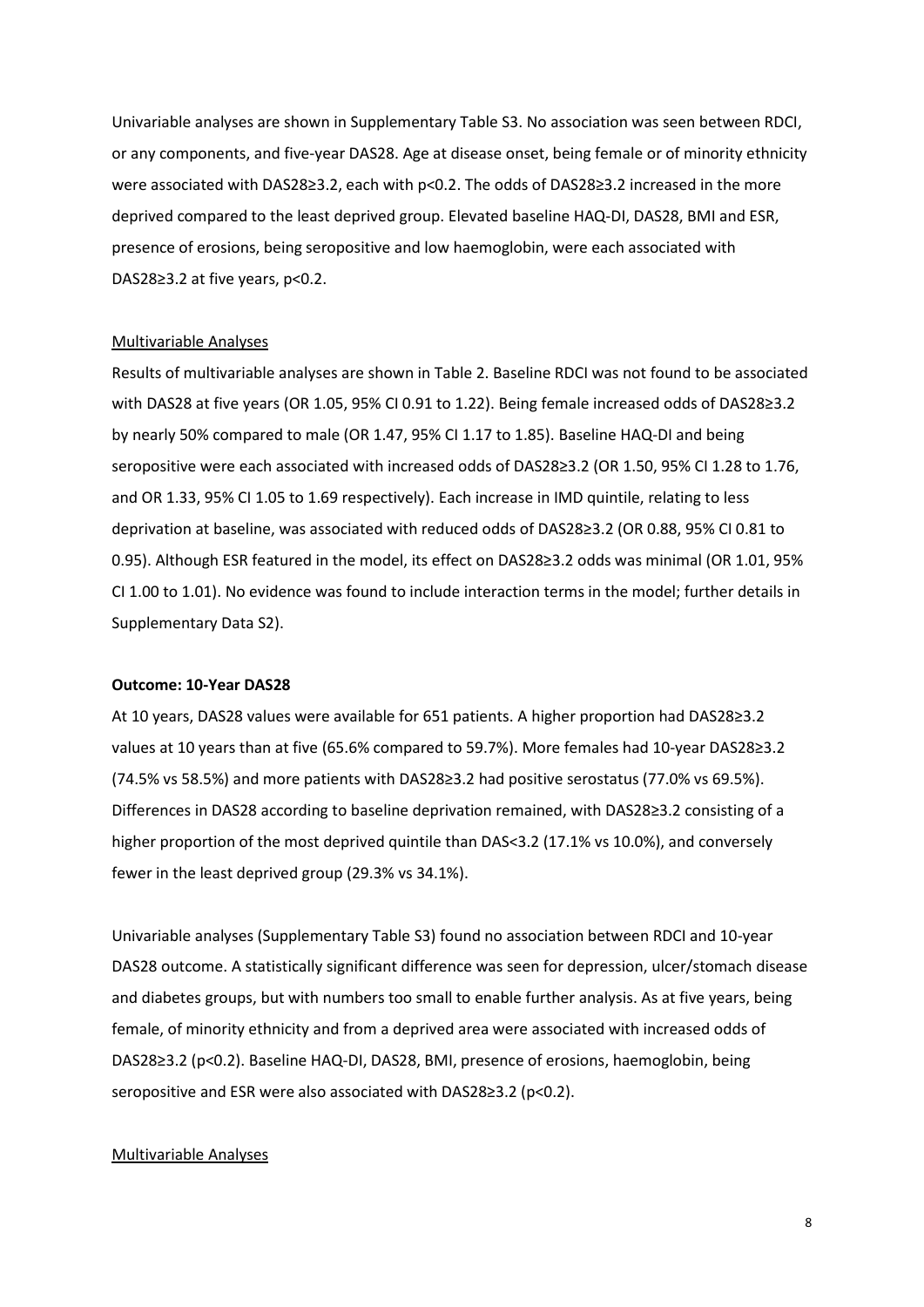Univariable analyses are shown in Supplementary Table S3. No association was seen between RDCI, or any components, and five-year DAS28. Age at disease onset, being female or of minority ethnicity were associated with DAS28≥3.2, each with p<0.2. The odds of DAS28≥3.2 increased in the more deprived compared to the least deprived group. Elevated baseline HAQ-DI, DAS28, BMI and ESR, presence of erosions, being seropositive and low haemoglobin, were each associated with DAS28≥3.2 at five years, p<0.2.

#### Multivariable Analyses

Results of multivariable analyses are shown in Table 2. Baseline RDCI was not found to be associated with DAS28 at five years (OR 1.05, 95% CI 0.91 to 1.22). Being female increased odds of DAS28≥3.2 by nearly 50% compared to male (OR 1.47, 95% CI 1.17 to 1.85). Baseline HAQ-DI and being seropositive were each associated with increased odds of DAS28≥3.2 (OR 1.50, 95% CI 1.28 to 1.76, and OR 1.33, 95% CI 1.05 to 1.69 respectively). Each increase in IMD quintile, relating to less deprivation at baseline, was associated with reduced odds of DAS28≥3.2 (OR 0.88, 95% CI 0.81 to 0.95). Although ESR featured in the model, its effect on DAS28≥3.2 odds was minimal (OR 1.01, 95% CI 1.00 to 1.01). No evidence was found to include interaction terms in the model; further details in Supplementary Data S2).

#### **Outcome: 10-Year DAS28**

At 10 years, DAS28 values were available for 651 patients. A higher proportion had DAS28≥3.2 values at 10 years than at five (65.6% compared to 59.7%). More females had 10-year DAS28≥3.2 (74.5% vs 58.5%) and more patients with DAS28≥3.2 had positive serostatus (77.0% vs 69.5%). Differences in DAS28 according to baseline deprivation remained, with DAS28≥3.2 consisting of a higher proportion of the most deprived quintile than DAS<3.2 (17.1% vs 10.0%), and conversely fewer in the least deprived group (29.3% vs 34.1%).

Univariable analyses (Supplementary Table S3) found no association between RDCI and 10-year DAS28 outcome. A statistically significant difference was seen for depression, ulcer/stomach disease and diabetes groups, but with numbers too small to enable further analysis. As at five years, being female, of minority ethnicity and from a deprived area were associated with increased odds of DAS28≥3.2 (p<0.2). Baseline HAQ-DI, DAS28, BMI, presence of erosions, haemoglobin, being seropositive and ESR were also associated with DAS28≥3.2 (p<0.2).

#### Multivariable Analyses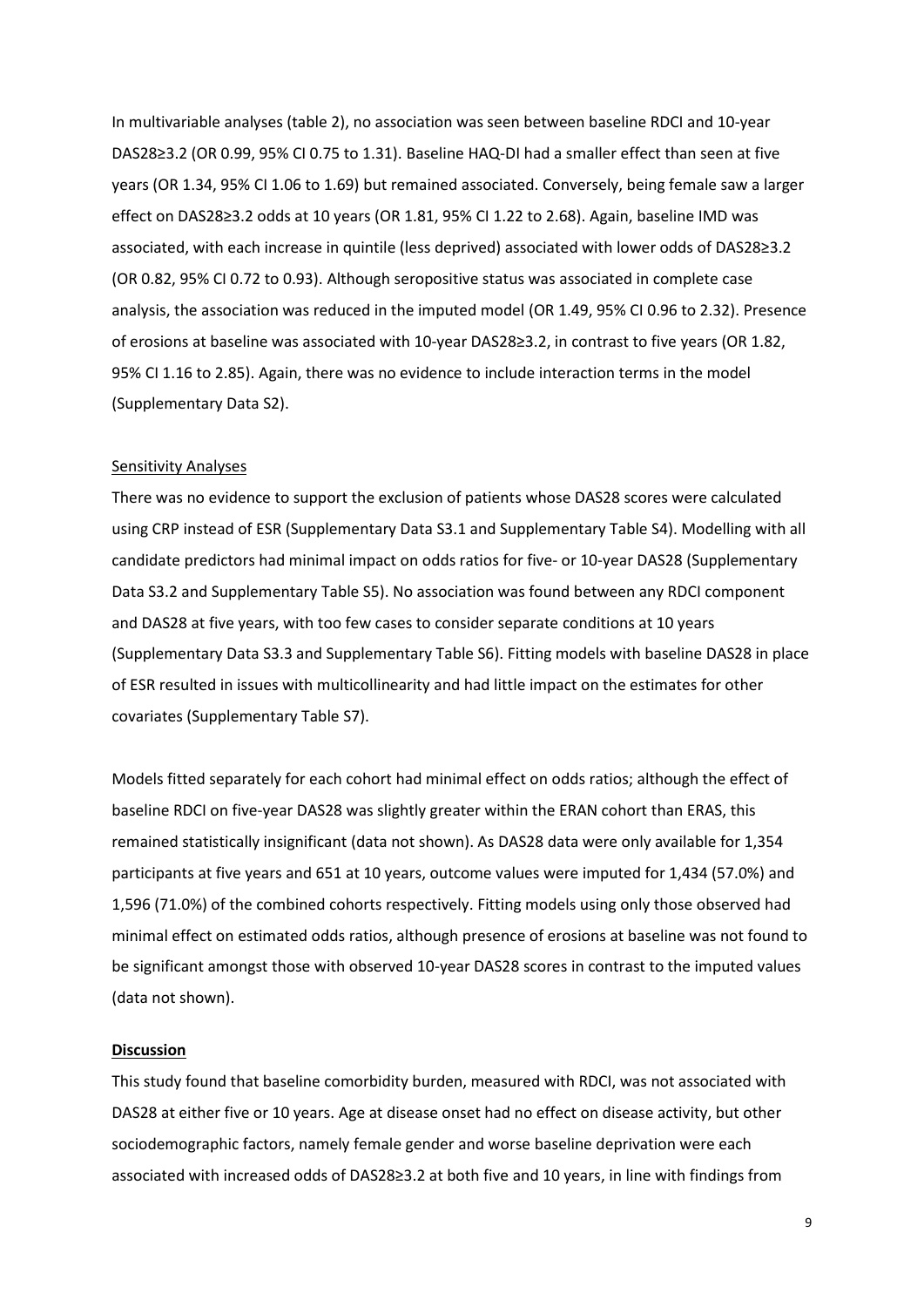In multivariable analyses (table 2), no association was seen between baseline RDCI and 10-year DAS28≥3.2 (OR 0.99, 95% CI 0.75 to 1.31). Baseline HAQ-DI had a smaller effect than seen at five years (OR 1.34, 95% CI 1.06 to 1.69) but remained associated. Conversely, being female saw a larger effect on DAS28≥3.2 odds at 10 years (OR 1.81, 95% CI 1.22 to 2.68). Again, baseline IMD was associated, with each increase in quintile (less deprived) associated with lower odds of DAS28≥3.2 (OR 0.82, 95% CI 0.72 to 0.93). Although seropositive status was associated in complete case analysis, the association was reduced in the imputed model (OR 1.49, 95% CI 0.96 to 2.32). Presence of erosions at baseline was associated with 10-year DAS28≥3.2, in contrast to five years (OR 1.82, 95% CI 1.16 to 2.85). Again, there was no evidence to include interaction terms in the model (Supplementary Data S2).

## Sensitivity Analyses

There was no evidence to support the exclusion of patients whose DAS28 scores were calculated using CRP instead of ESR (Supplementary Data S3.1 and Supplementary Table S4). Modelling with all candidate predictors had minimal impact on odds ratios for five- or 10-year DAS28 (Supplementary Data S3.2 and Supplementary Table S5). No association was found between any RDCI component and DAS28 at five years, with too few cases to consider separate conditions at 10 years (Supplementary Data S3.3 and Supplementary Table S6). Fitting models with baseline DAS28 in place of ESR resulted in issues with multicollinearity and had little impact on the estimates for other covariates (Supplementary Table S7).

Models fitted separately for each cohort had minimal effect on odds ratios; although the effect of baseline RDCI on five-year DAS28 was slightly greater within the ERAN cohort than ERAS, this remained statistically insignificant (data not shown). As DAS28 data were only available for 1,354 participants at five years and 651 at 10 years, outcome values were imputed for 1,434 (57.0%) and 1,596 (71.0%) of the combined cohorts respectively. Fitting models using only those observed had minimal effect on estimated odds ratios, although presence of erosions at baseline was not found to be significant amongst those with observed 10-year DAS28 scores in contrast to the imputed values (data not shown).

#### **Discussion**

This study found that baseline comorbidity burden, measured with RDCI, was not associated with DAS28 at either five or 10 years. Age at disease onset had no effect on disease activity, but other sociodemographic factors, namely female gender and worse baseline deprivation were each associated with increased odds of DAS28≥3.2 at both five and 10 years, in line with findings from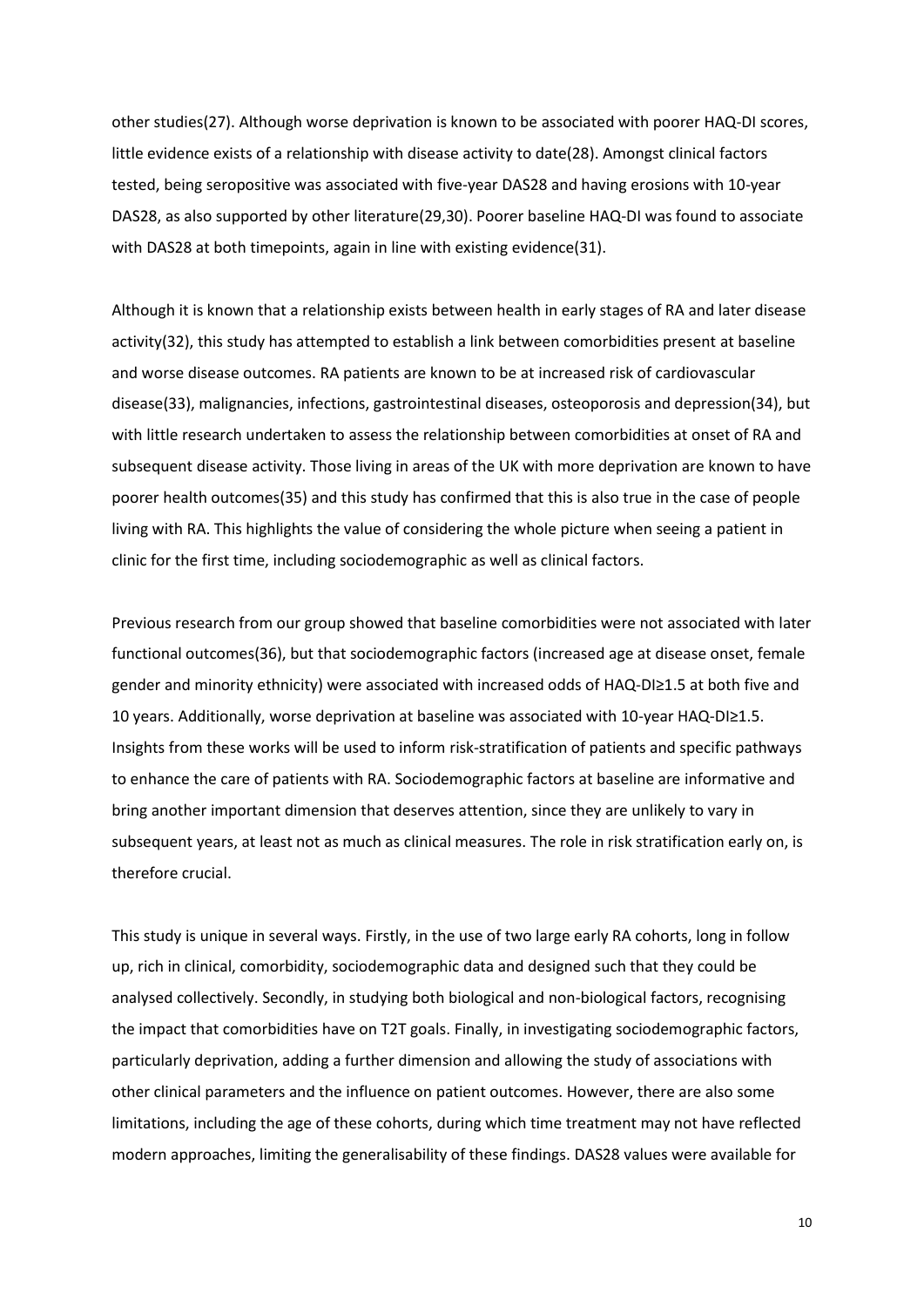other studies(27). Although worse deprivation is known to be associated with poorer HAQ-DI scores, little evidence exists of a relationship with disease activity to date(28). Amongst clinical factors tested, being seropositive was associated with five-year DAS28 and having erosions with 10-year DAS28, as also supported by other literature(29,30). Poorer baseline HAQ-DI was found to associate with DAS28 at both timepoints, again in line with existing evidence(31).

Although it is known that a relationship exists between health in early stages of RA and later disease activity(32), this study has attempted to establish a link between comorbidities present at baseline and worse disease outcomes. RA patients are known to be at increased risk of cardiovascular disease(33), malignancies, infections, gastrointestinal diseases, osteoporosis and depression(34), but with little research undertaken to assess the relationship between comorbidities at onset of RA and subsequent disease activity. Those living in areas of the UK with more deprivation are known to have poorer health outcomes(35) and this study has confirmed that this is also true in the case of people living with RA. This highlights the value of considering the whole picture when seeing a patient in clinic for the first time, including sociodemographic as well as clinical factors.

Previous research from our group showed that baseline comorbidities were not associated with later functional outcomes(36), but that sociodemographic factors (increased age at disease onset, female gender and minority ethnicity) were associated with increased odds of HAQ-DI≥1.5 at both five and 10 years. Additionally, worse deprivation at baseline was associated with 10-year HAQ-DI≥1.5. Insights from these works will be used to inform risk-stratification of patients and specific pathways to enhance the care of patients with RA. Sociodemographic factors at baseline are informative and bring another important dimension that deserves attention, since they are unlikely to vary in subsequent years, at least not as much as clinical measures. The role in risk stratification early on, is therefore crucial.

This study is unique in several ways. Firstly, in the use of two large early RA cohorts, long in follow up, rich in clinical, comorbidity, sociodemographic data and designed such that they could be analysed collectively. Secondly, in studying both biological and non-biological factors, recognising the impact that comorbidities have on T2T goals. Finally, in investigating sociodemographic factors, particularly deprivation, adding a further dimension and allowing the study of associations with other clinical parameters and the influence on patient outcomes. However, there are also some limitations, including the age of these cohorts, during which time treatment may not have reflected modern approaches, limiting the generalisability of these findings. DAS28 values were available for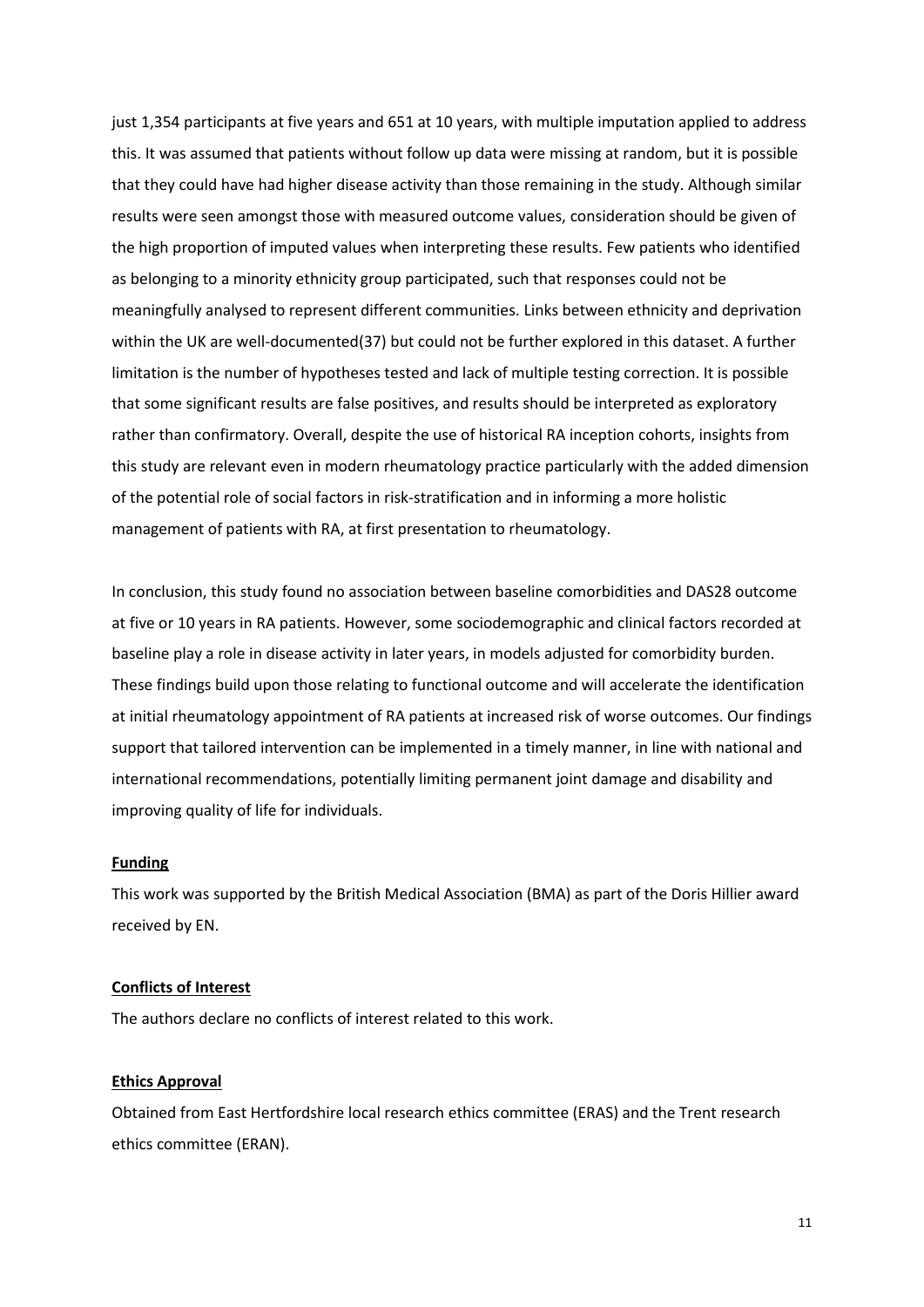just 1,354 participants at five years and 651 at 10 years, with multiple imputation applied to address this. It was assumed that patients without follow up data were missing at random, but it is possible that they could have had higher disease activity than those remaining in the study. Although similar results were seen amongst those with measured outcome values, consideration should be given of the high proportion of imputed values when interpreting these results. Few patients who identified as belonging to a minority ethnicity group participated, such that responses could not be meaningfully analysed to represent different communities. Links between ethnicity and deprivation within the UK are well-documented(37) but could not be further explored in this dataset. A further limitation is the number of hypotheses tested and lack of multiple testing correction. It is possible that some significant results are false positives, and results should be interpreted as exploratory rather than confirmatory. Overall, despite the use of historical RA inception cohorts, insights from this study are relevant even in modern rheumatology practice particularly with the added dimension of the potential role of social factors in risk-stratification and in informing a more holistic management of patients with RA, at first presentation to rheumatology.

In conclusion, this study found no association between baseline comorbidities and DAS28 outcome at five or 10 years in RA patients. However, some sociodemographic and clinical factors recorded at baseline play a role in disease activity in later years, in models adjusted for comorbidity burden. These findings build upon those relating to functional outcome and will accelerate the identification at initial rheumatology appointment of RA patients at increased risk of worse outcomes. Our findings support that tailored intervention can be implemented in a timely manner, in line with national and international recommendations, potentially limiting permanent joint damage and disability and improving quality of life for individuals.

#### **Funding**

This work was supported by the British Medical Association (BMA) as part of the Doris Hillier award received by EN.

#### **Conflicts of Interest**

The authors declare no conflicts of interest related to this work.

### **Ethics Approval**

Obtained from East Hertfordshire local research ethics committee (ERAS) and the Trent research ethics committee (ERAN).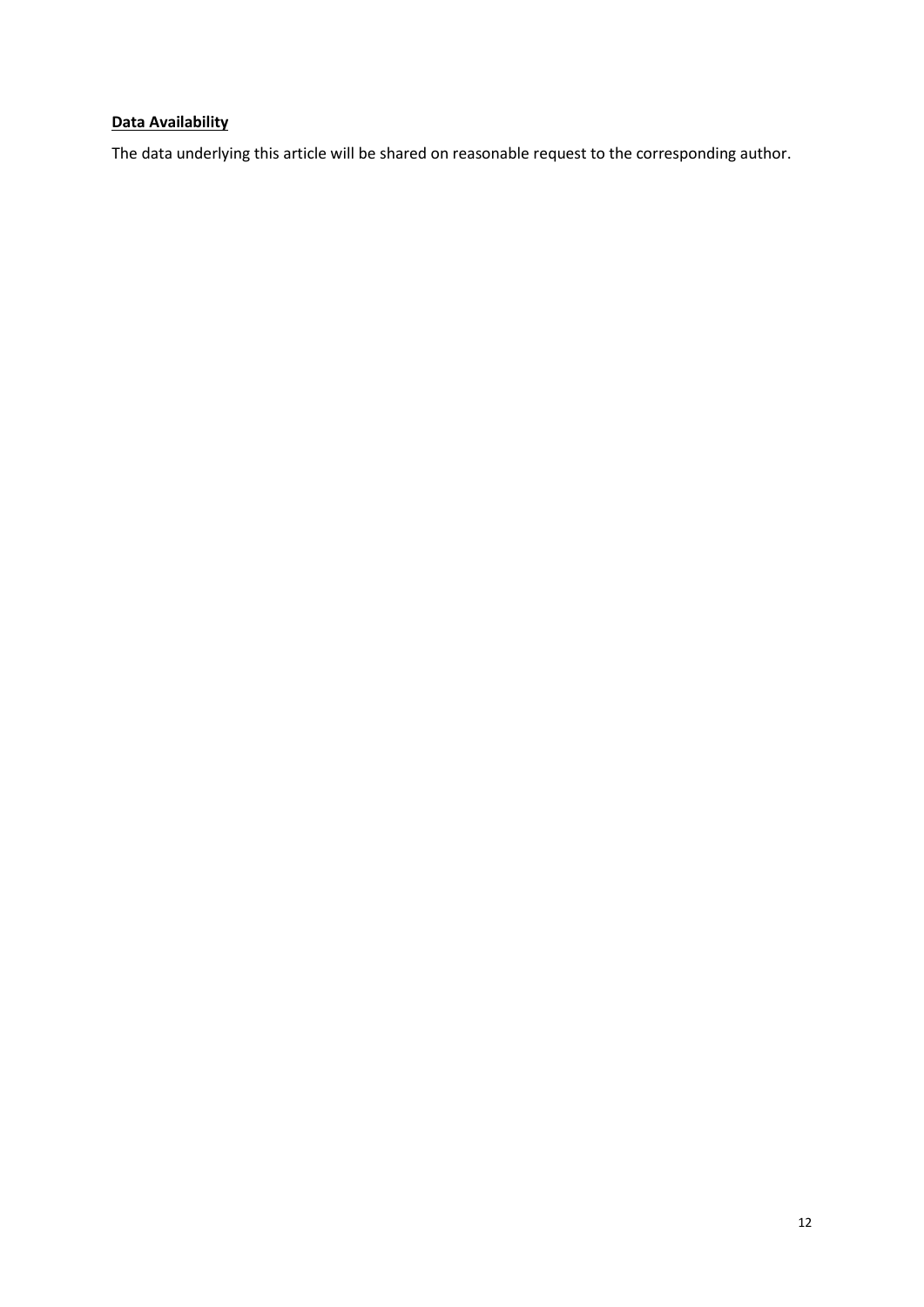# **Data Availability**

The data underlying this article will be shared on reasonable request to the corresponding author.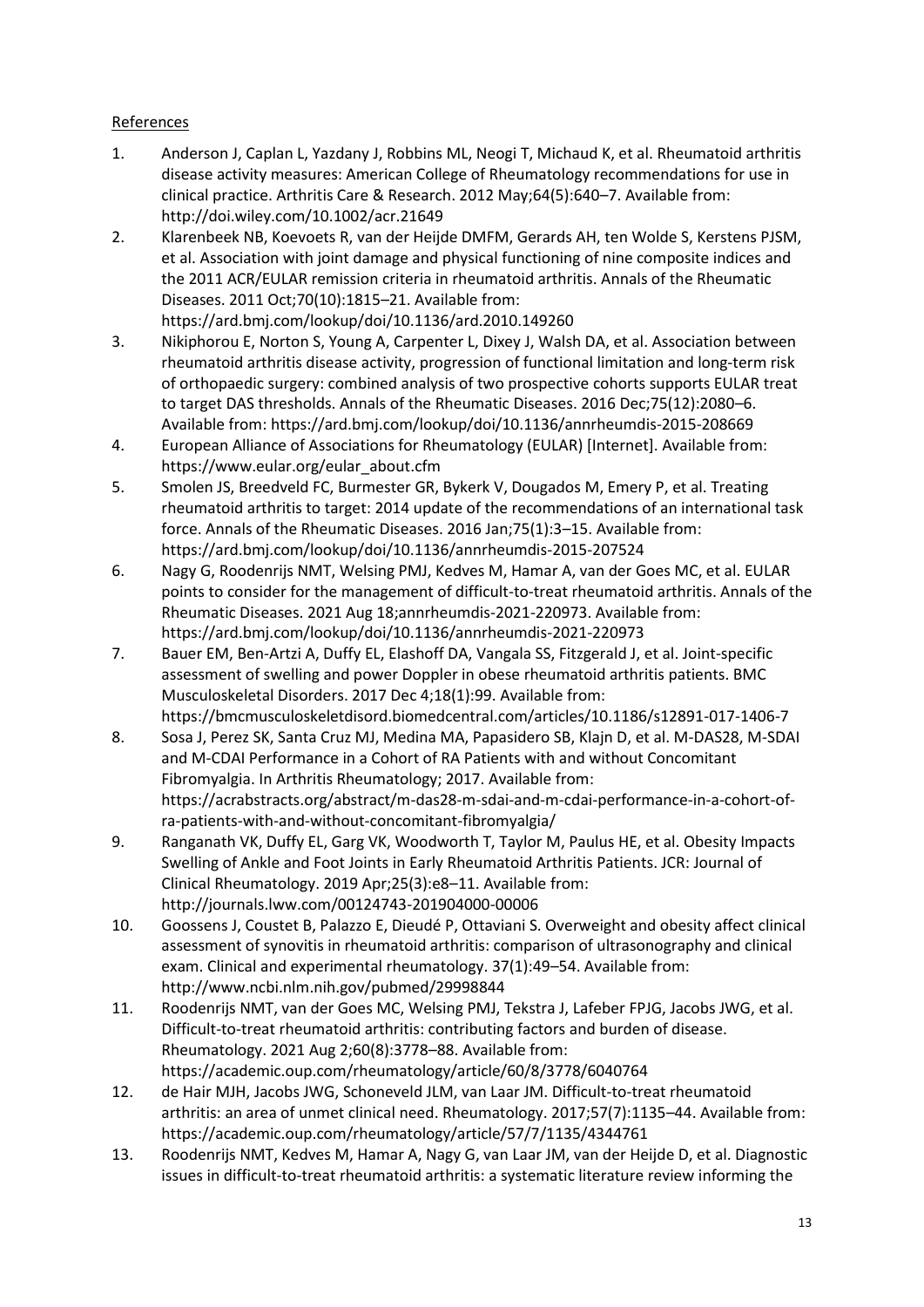## References

- 1. Anderson J, Caplan L, Yazdany J, Robbins ML, Neogi T, Michaud K, et al. Rheumatoid arthritis disease activity measures: American College of Rheumatology recommendations for use in clinical practice. Arthritis Care & Research. 2012 May;64(5):640–7. Available from: http://doi.wiley.com/10.1002/acr.21649
- 2. Klarenbeek NB, Koevoets R, van der Heijde DMFM, Gerards AH, ten Wolde S, Kerstens PJSM, et al. Association with joint damage and physical functioning of nine composite indices and the 2011 ACR/EULAR remission criteria in rheumatoid arthritis. Annals of the Rheumatic Diseases. 2011 Oct;70(10):1815–21. Available from: https://ard.bmj.com/lookup/doi/10.1136/ard.2010.149260
- 3. Nikiphorou E, Norton S, Young A, Carpenter L, Dixey J, Walsh DA, et al. Association between rheumatoid arthritis disease activity, progression of functional limitation and long-term risk of orthopaedic surgery: combined analysis of two prospective cohorts supports EULAR treat to target DAS thresholds. Annals of the Rheumatic Diseases. 2016 Dec;75(12):2080–6. Available from: https://ard.bmj.com/lookup/doi/10.1136/annrheumdis-2015-208669
- 4. European Alliance of Associations for Rheumatology (EULAR) [Internet]. Available from: https://www.eular.org/eular\_about.cfm
- 5. Smolen JS, Breedveld FC, Burmester GR, Bykerk V, Dougados M, Emery P, et al. Treating rheumatoid arthritis to target: 2014 update of the recommendations of an international task force. Annals of the Rheumatic Diseases. 2016 Jan;75(1):3–15. Available from: https://ard.bmj.com/lookup/doi/10.1136/annrheumdis-2015-207524
- 6. Nagy G, Roodenrijs NMT, Welsing PMJ, Kedves M, Hamar A, van der Goes MC, et al. EULAR points to consider for the management of difficult-to-treat rheumatoid arthritis. Annals of the Rheumatic Diseases. 2021 Aug 18;annrheumdis-2021-220973. Available from: https://ard.bmj.com/lookup/doi/10.1136/annrheumdis-2021-220973
- 7. Bauer EM, Ben-Artzi A, Duffy EL, Elashoff DA, Vangala SS, Fitzgerald J, et al. Joint-specific assessment of swelling and power Doppler in obese rheumatoid arthritis patients. BMC Musculoskeletal Disorders. 2017 Dec 4;18(1):99. Available from: https://bmcmusculoskeletdisord.biomedcentral.com/articles/10.1186/s12891-017-1406-7
- 8. Sosa J, Perez SK, Santa Cruz MJ, Medina MA, Papasidero SB, Klajn D, et al. M-DAS28, M-SDAI and M-CDAI Performance in a Cohort of RA Patients with and without Concomitant Fibromyalgia. In Arthritis Rheumatology; 2017. Available from: https://acrabstracts.org/abstract/m-das28-m-sdai-and-m-cdai-performance-in-a-cohort-ofra-patients-with-and-without-concomitant-fibromyalgia/
- 9. Ranganath VK, Duffy EL, Garg VK, Woodworth T, Taylor M, Paulus HE, et al. Obesity Impacts Swelling of Ankle and Foot Joints in Early Rheumatoid Arthritis Patients. JCR: Journal of Clinical Rheumatology. 2019 Apr;25(3):e8–11. Available from: http://journals.lww.com/00124743-201904000-00006
- 10. Goossens J, Coustet B, Palazzo E, Dieudé P, Ottaviani S. Overweight and obesity affect clinical assessment of synovitis in rheumatoid arthritis: comparison of ultrasonography and clinical exam. Clinical and experimental rheumatology. 37(1):49–54. Available from: http://www.ncbi.nlm.nih.gov/pubmed/29998844
- 11. Roodenrijs NMT, van der Goes MC, Welsing PMJ, Tekstra J, Lafeber FPJG, Jacobs JWG, et al. Difficult-to-treat rheumatoid arthritis: contributing factors and burden of disease. Rheumatology. 2021 Aug 2;60(8):3778–88. Available from: https://academic.oup.com/rheumatology/article/60/8/3778/6040764
- 12. de Hair MJH, Jacobs JWG, Schoneveld JLM, van Laar JM. Difficult-to-treat rheumatoid arthritis: an area of unmet clinical need. Rheumatology. 2017;57(7):1135–44. Available from: https://academic.oup.com/rheumatology/article/57/7/1135/4344761
- 13. Roodenrijs NMT, Kedves M, Hamar A, Nagy G, van Laar JM, van der Heijde D, et al. Diagnostic issues in difficult-to-treat rheumatoid arthritis: a systematic literature review informing the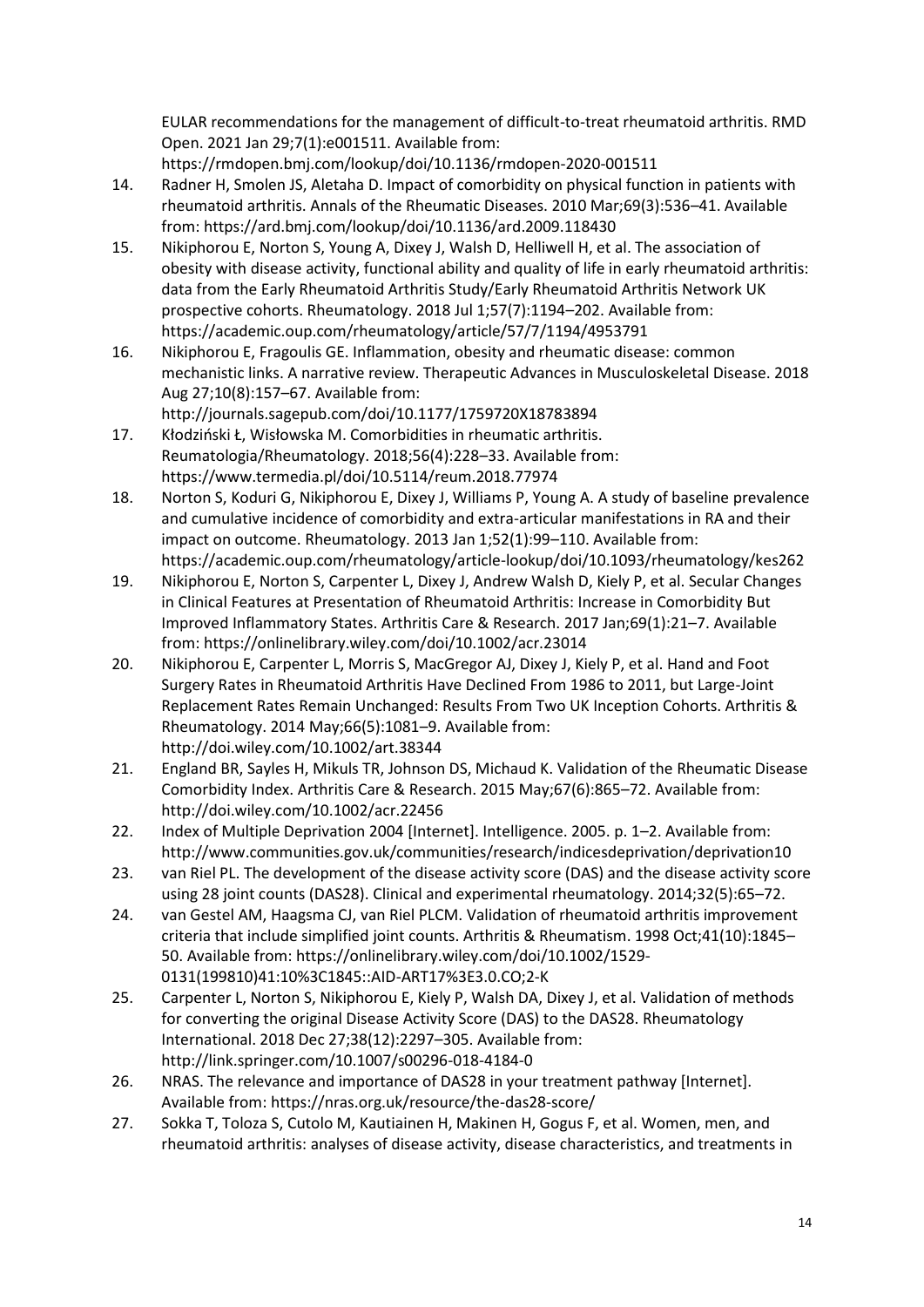EULAR recommendations for the management of difficult-to-treat rheumatoid arthritis. RMD Open. 2021 Jan 29;7(1):e001511. Available from:

https://rmdopen.bmj.com/lookup/doi/10.1136/rmdopen-2020-001511

- 14. Radner H, Smolen JS, Aletaha D. Impact of comorbidity on physical function in patients with rheumatoid arthritis. Annals of the Rheumatic Diseases. 2010 Mar;69(3):536–41. Available from: https://ard.bmj.com/lookup/doi/10.1136/ard.2009.118430
- 15. Nikiphorou E, Norton S, Young A, Dixey J, Walsh D, Helliwell H, et al. The association of obesity with disease activity, functional ability and quality of life in early rheumatoid arthritis: data from the Early Rheumatoid Arthritis Study/Early Rheumatoid Arthritis Network UK prospective cohorts. Rheumatology. 2018 Jul 1;57(7):1194–202. Available from: https://academic.oup.com/rheumatology/article/57/7/1194/4953791
- 16. Nikiphorou E, Fragoulis GE. Inflammation, obesity and rheumatic disease: common mechanistic links. A narrative review. Therapeutic Advances in Musculoskeletal Disease. 2018 Aug 27;10(8):157–67. Available from:

http://journals.sagepub.com/doi/10.1177/1759720X18783894

- 17. Kłodziński Ł, Wisłowska M. Comorbidities in rheumatic arthritis. Reumatologia/Rheumatology. 2018;56(4):228–33. Available from: https://www.termedia.pl/doi/10.5114/reum.2018.77974
- 18. Norton S, Koduri G, Nikiphorou E, Dixey J, Williams P, Young A. A study of baseline prevalence and cumulative incidence of comorbidity and extra-articular manifestations in RA and their impact on outcome. Rheumatology. 2013 Jan 1;52(1):99–110. Available from: https://academic.oup.com/rheumatology/article-lookup/doi/10.1093/rheumatology/kes262
- 19. Nikiphorou E, Norton S, Carpenter L, Dixey J, Andrew Walsh D, Kiely P, et al. Secular Changes in Clinical Features at Presentation of Rheumatoid Arthritis: Increase in Comorbidity But Improved Inflammatory States. Arthritis Care & Research. 2017 Jan;69(1):21–7. Available from: https://onlinelibrary.wiley.com/doi/10.1002/acr.23014
- 20. Nikiphorou E, Carpenter L, Morris S, MacGregor AJ, Dixey J, Kiely P, et al. Hand and Foot Surgery Rates in Rheumatoid Arthritis Have Declined From 1986 to 2011, but Large-Joint Replacement Rates Remain Unchanged: Results From Two UK Inception Cohorts. Arthritis & Rheumatology. 2014 May;66(5):1081–9. Available from: http://doi.wiley.com/10.1002/art.38344
- 21. England BR, Sayles H, Mikuls TR, Johnson DS, Michaud K. Validation of the Rheumatic Disease Comorbidity Index. Arthritis Care & Research. 2015 May;67(6):865–72. Available from: http://doi.wiley.com/10.1002/acr.22456
- 22. Index of Multiple Deprivation 2004 [Internet]. Intelligence. 2005. p. 1–2. Available from: http://www.communities.gov.uk/communities/research/indicesdeprivation/deprivation10
- 23. van Riel PL. The development of the disease activity score (DAS) and the disease activity score using 28 joint counts (DAS28). Clinical and experimental rheumatology. 2014;32(5):65–72.
- 24. van Gestel AM, Haagsma CJ, van Riel PLCM. Validation of rheumatoid arthritis improvement criteria that include simplified joint counts. Arthritis & Rheumatism. 1998 Oct;41(10):1845– 50. Available from: https://onlinelibrary.wiley.com/doi/10.1002/1529- 0131(199810)41:10%3C1845::AID-ART17%3E3.0.CO;2-K
- 25. Carpenter L, Norton S, Nikiphorou E, Kiely P, Walsh DA, Dixey J, et al. Validation of methods for converting the original Disease Activity Score (DAS) to the DAS28. Rheumatology International. 2018 Dec 27;38(12):2297–305. Available from: http://link.springer.com/10.1007/s00296-018-4184-0
- 26. NRAS. The relevance and importance of DAS28 in your treatment pathway [Internet]. Available from: https://nras.org.uk/resource/the-das28-score/
- 27. Sokka T, Toloza S, Cutolo M, Kautiainen H, Makinen H, Gogus F, et al. Women, men, and rheumatoid arthritis: analyses of disease activity, disease characteristics, and treatments in